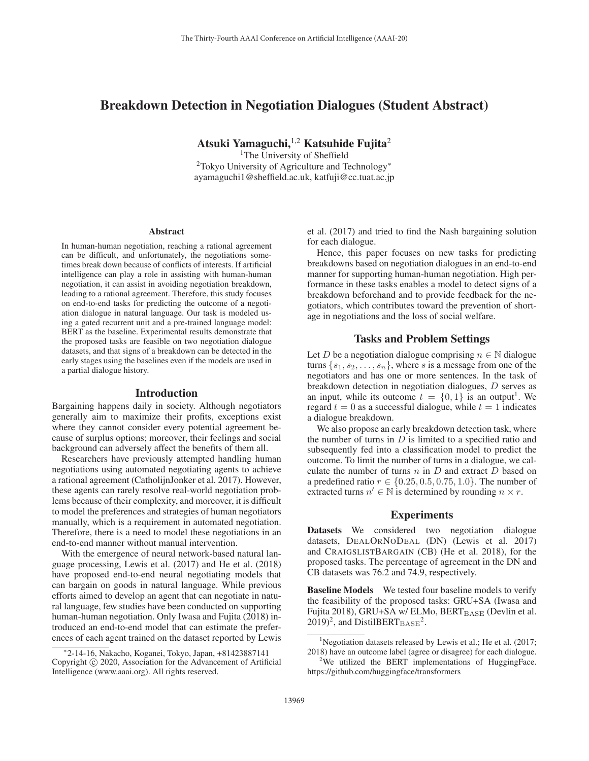# Breakdown Detection in Negotiation Dialogues (Student Abstract)

Atsuki Yamaguchi, $^{1,2}$  Katsuhide Fujita<sup>2</sup>

<sup>1</sup>The University of Sheffield 2Tokyo University of Agriculture and Technology<sup>∗</sup> ayamaguchi1@sheffield.ac.uk, katfuji@cc.tuat.ac.jp

#### Abstract

In human-human negotiation, reaching a rational agreement can be difficult, and unfortunately, the negotiations sometimes break down because of conflicts of interests. If artificial intelligence can play a role in assisting with human-human negotiation, it can assist in avoiding negotiation breakdown, leading to a rational agreement. Therefore, this study focuses on end-to-end tasks for predicting the outcome of a negotiation dialogue in natural language. Our task is modeled using a gated recurrent unit and a pre-trained language model: BERT as the baseline. Experimental results demonstrate that the proposed tasks are feasible on two negotiation dialogue datasets, and that signs of a breakdown can be detected in the early stages using the baselines even if the models are used in a partial dialogue history.

#### Introduction

Bargaining happens daily in society. Although negotiators generally aim to maximize their profits, exceptions exist where they cannot consider every potential agreement because of surplus options; moreover, their feelings and social background can adversely affect the benefits of them all.

Researchers have previously attempted handling human negotiations using automated negotiating agents to achieve a rational agreement (CatholijnJonker et al. 2017). However, these agents can rarely resolve real-world negotiation problems because of their complexity, and moreover, it is difficult to model the preferences and strategies of human negotiators manually, which is a requirement in automated negotiation. Therefore, there is a need to model these negotiations in an end-to-end manner without manual intervention.

With the emergence of neural network-based natural language processing, Lewis et al. (2017) and He et al. (2018) have proposed end-to-end neural negotiating models that can bargain on goods in natural language. While previous efforts aimed to develop an agent that can negotiate in natural language, few studies have been conducted on supporting human-human negotiation. Only Iwasa and Fujita (2018) introduced an end-to-end model that can estimate the preferences of each agent trained on the dataset reported by Lewis et al. (2017) and tried to find the Nash bargaining solution for each dialogue.

Hence, this paper focuses on new tasks for predicting breakdowns based on negotiation dialogues in an end-to-end manner for supporting human-human negotiation. High performance in these tasks enables a model to detect signs of a breakdown beforehand and to provide feedback for the negotiators, which contributes toward the prevention of shortage in negotiations and the loss of social welfare.

#### Tasks and Problem Settings

Let D be a negotiation dialogue comprising  $n \in \mathbb{N}$  dialogue turns  $\{s_1, s_2, \ldots, s_n\}$ , where s is a message from one of the negotiators and has one or more sentences. In the task of breakdown detection in negotiation dialogues, D serves as an input, while its outcome  $t = \{0, 1\}$  is an output<sup>1</sup>. We regard  $t = 0$  as a successful dialogue, while  $t = 1$  indicates a dialogue breakdown.

We also propose an early breakdown detection task, where the number of turns in  $D$  is limited to a specified ratio and subsequently fed into a classification model to predict the outcome. To limit the number of turns in a dialogue, we calculate the number of turns  $n$  in  $D$  and extract  $D$  based on a predefined ratio  $r \in \{0.25, 0.5, 0.75, 1.0\}$ . The number of extracted turns  $n' \in \mathbb{N}$  is determined by rounding  $n \times r$ .

## **Experiments**

Datasets We considered two negotiation dialogue datasets, DEALORNODEAL (DN) (Lewis et al. 2017) and CRAIGSLISTBARGAIN (CB) (He et al. 2018), for the proposed tasks. The percentage of agreement in the DN and CB datasets was 76.2 and 74.9, respectively.

Baseline Models We tested four baseline models to verify the feasibility of the proposed tasks: GRU+SA (Iwasa and Fujita 2018), GRU+SA w/ ELMo, BERT<sub>BASE</sub> (Devlin et al.  $(2019)^2$ , and DistilBERT $_{\rm BASE}^2$ .

<sup>∗</sup>2-14-16, Nakacho, Koganei, Tokyo, Japan, +81423887141 Copyright  $\odot$  2020, Association for the Advancement of Artificial Intelligence (www.aaai.org). All rights reserved.

<sup>&</sup>lt;sup>1</sup>Negotiation datasets released by Lewis et al.; He et al. (2017; 2018) have an outcome label (agree or disagree) for each dialogue.

 $2$ We utilized the BERT implementations of HuggingFace. https://github.com/huggingface/transformers